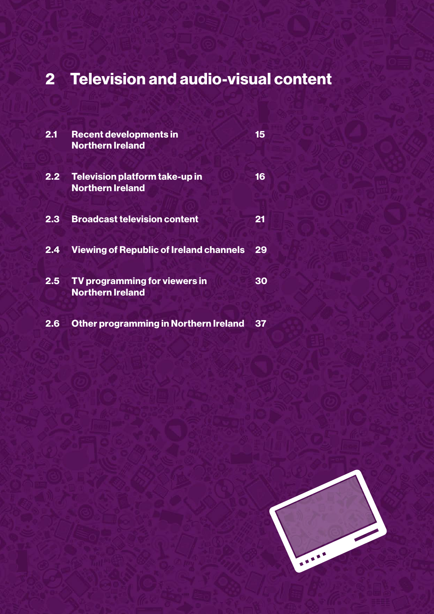# 2 Television and audio-visual content

| 2.1              | <b>Recent developments in</b><br><b>Northern Ireland</b>  | 15 |
|------------------|-----------------------------------------------------------|----|
| 2.2 <sub>2</sub> | Television platform take-up in<br><b>Northern Ireland</b> | 16 |
| 2.3              | <b>Broadcast television content</b>                       | 21 |
| 2.4              | <b>Viewing of Republic of Ireland channels</b>            | 29 |
| 2.5              | TV programming for viewers in<br><b>Northern Ireland</b>  | 30 |
| 2.6              | <b>Other programming in Northern Ireland</b>              | 37 |

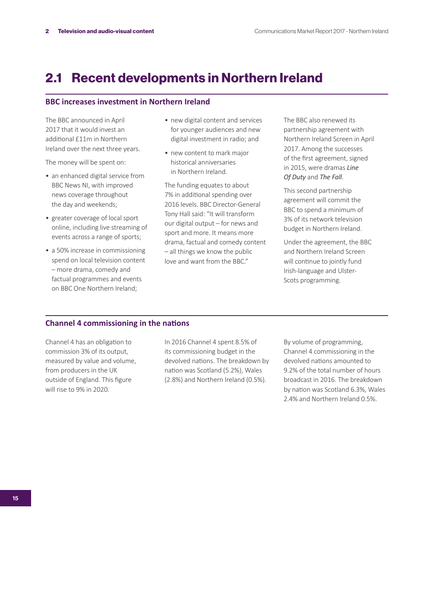# 2.1 Recent developments in Northern Ireland

### **BBC increases investment in Northern Ireland**

The BBC announced in April 2017 that it would invest an additional £11m in Northern Ireland over the next three years.

The money will be spent on:

- an enhanced digital service from BBC News NI, with improved news coverage throughout the day and weekends;
- greater coverage of local sport online, including live streaming of events across a range of sports;
- a 50% increase in commissioning spend on local television content – more drama, comedy and factual programmes and events on BBC One Northern Ireland;
- new digital content and services for younger audiences and new digital investment in radio; and
- new content to mark major historical anniversaries in Northern Ireland.

The funding equates to about 7% in additional spending over 2016 levels. BBC Director-General Tony Hall said: "It will transform our digital output – for news and sport and more. It means more drama, factual and comedy content – all things we know the public love and want from the BBC"

The BBC also renewed its partnership agreement with Northern Ireland Screen in April 2017. Among the successes of the first agreement, signed in 2015, were dramas *Line Of Duty* and *The Fall*.

This second partnership agreement will commit the BBC to spend a minimum of 3% of its network television budget in Northern Ireland.

Under the agreement, the BBC and Northern Ireland Screen will continue to jointly fund Irish-language and Ulster-Scots programming.

### **Channel 4 commissioning in the nations**

Channel 4 has an obligation to commission 3% of its output, measured by value and volume, from producers in the UK outside of England. This figure will rise to 9% in 2020.

In 2016 Channel 4 spent 8.5% of its commissioning budget in the devolved nations. The breakdown by nation was Scotland (5.2%), Wales (2.8%) and Northern Ireland (0.5%).

By volume of programming, Channel 4 commissioning in the devolved nations amounted to 9.2% of the total number of hours broadcast in 2016. The breakdown by nation was Scotland 6.3%, Wales 2.4% and Northern Ireland 0.5%.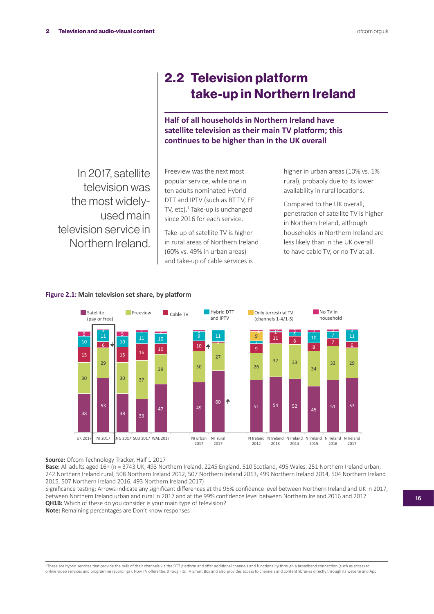# 2.2 Television platform take-up in Northern Ireland

**Half of all households in Northern Ireland have satellite television as their main TV platform; this continues to be higher than in the UK overall**

In 2017, satellite television was the most widelyused main television service in Northern Ireland.

Freeview was the next most popular service, while one in ten adults nominated Hybrid DTT and IPTV (such as BT TV, EE TV, etc).<sup>1</sup> Take-up is unchanged since 2016 for each service.

Take-up of satellite TV is higher in rural areas of Northern Ireland (60% vs. 49% in urban areas) and take-up of cable services is

higher in urban areas (10% vs. 1% rural), probably due to its lower availability in rural locations.

Compared to the UK overall, penetration of satellite TV is higher in Northern Ireland, although households in Northern Ireland are less likely than in the UK overall to have cable TV, or no TV at all.





**Source:** Ofcom Technology Tracker, Half 1 2017

**Base:** All adults aged 16+ (n = 3743 UK, 493 Northern Ireland, 2245 England, 510 Scotland, 495 Wales, 251 Northern Ireland urban, 242 Northern Ireland rural, 508 Northern Ireland 2012, 507 Northern Ireland 2013, 499 Northern Ireland 2014, 504 Northern Ireland 2015, 507 Northern Ireland 2016, 493 Northern Ireland 2017)

Significance testing: Arrows indicate any significant differences at the 95% confidence level between Northern Ireland and UK in 2017, between Northern Ireland urban and rural in 2017 and at the 99% confidence level between Northern Ireland 2016 and 2017 **QH1B:** Which of these do you consider is your main type of television?

**Note:** Remaining percentages are Don't know responses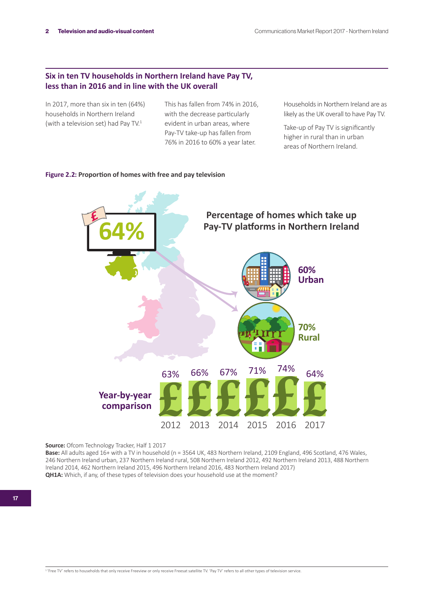# **Six in ten TV households in Northern Ireland have Pay TV, less than in 2016 and in line with the UK overall**

In 2017, more than six in ten (64%) households in Northern Ireland (with a television set) had Pay TV.<sup>1</sup>

This has fallen from 74% in 2016, with the decrease particularly evident in urban areas, where Pay-TV take-up has fallen from 76% in 2016 to 60% a year later.

Households in Northern Ireland are as likely as the UK overall to have Pay TV.

Take-up of Pay TV is significantly higher in rural than in urban areas of Northern Ireland.

### **Figure 2.2: Proportion of homes with free and pay television**



**Source:** Ofcom Technology Tracker, Half 1 2017

**Base:** All adults aged 16+ with a TV in household (n = 3564 UK, 483 Northern Ireland, 2109 England, 496 Scotland, 476 Wales, 246 Northern Ireland urban, 237 Northern Ireland rural, 508 Northern Ireland 2012, 492 Northern Ireland 2013, 488 Northern Ireland 2014, 462 Northern Ireland 2015, 496 Northern Ireland 2016, 483 Northern Ireland 2017) **QH1A:** Which, if any, of these types of television does your household use at the moment?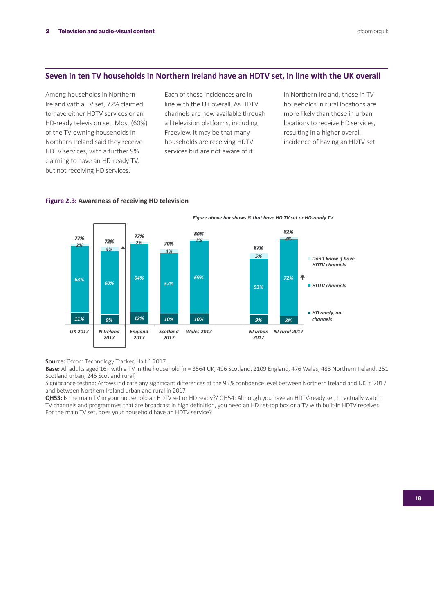# **Seven in ten TV households in Northern Ireland have an HDTV set, in line with the UK overall**

Among households in Northern Ireland with a TV set, 72% claimed to have either HDTV services or an HD-ready television set. Most (60%) of the TV-owning households in Northern Ireland said they receive HDTV services, with a further 9% claiming to have an HD-ready TV, but not receiving HD services.

Each of these incidences are in line with the UK overall. As HDTV channels are now available through all television platforms, including Freeview, it may be that many households are receiving HDTV services but are not aware of it.

In Northern Ireland, those in TV households in rural locations are more likely than those in urban locations to receive HD services, resulting in a higher overall incidence of having an HDTV set.



#### **Figure 2.3: Awareness of receiving HD television**

**Source:** Ofcom Technology Tracker, Half 1 2017

**Base:** All adults aged 16+ with a TV in the household (n = 3564 UK, 496 Scotland, 2109 England, 476 Wales, 483 Northern Ireland, 251 Scotland urban, 245 Scotland rural)

Significance testing: Arrows indicate any significant differences at the 95% confidence level between Northern Ireland and UK in 2017 and between Northern Ireland urban and rural in 2017

**QH53:** Is the main TV in your household an HDTV set or HD ready?/ QH54: Although you have an HDTV-ready set, to actually watch TV channels and programmes that are broadcast in high definition, you need an HD set-top box or a TV with built-in HDTV receiver. For the main TV set, does your household have an HDTV service?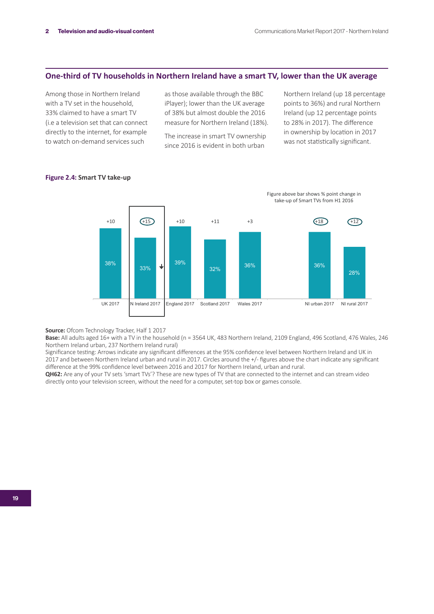# **One-third of TV households in Northern Ireland have a smart TV, lower than the UK average**

Among those in Northern Ireland with a TV set in the household, 33% claimed to have a smart TV (i.e a television set that can connect directly to the internet, for example to watch on-demand services such

as those available through the BBC iPlayer); lower than the UK average of 38% but almost double the 2016 measure for Northern Ireland (18%).

The increase in smart TV ownership since 2016 is evident in both urban

Northern Ireland (up 18 percentage points to 36%) and rural Northern Ireland (up 12 percentage points to 28% in 2017). The difference in ownership by location in 2017 was not statistically significant.



#### **Figure 2.4: Smart TV take-up**

**Source:** Ofcom Technology Tracker, Half 1 2017

Base: All adults aged 16+ with a TV in the household (n = 3564 UK, 483 Northern Ireland, 2109 England, 496 Scotland, 476 Wales, 246 Northern Ireland urban, 237 Northern Ireland rural)

Significance testing: Arrows indicate any significant differences at the 95% confidence level between Northern Ireland and UK in 2017 and between Northern Ireland urban and rural in 2017. Circles around the +/- figures above the chart indicate any significant difference at the 99% confidence level between 2016 and 2017 for Northern Ireland, urban and rural.

**QH62:** Are any of your TV sets 'smart TVs'? These are new types of TV that are connected to the internet and can stream video directly onto your television screen, without the need for a computer, set-top box or games console.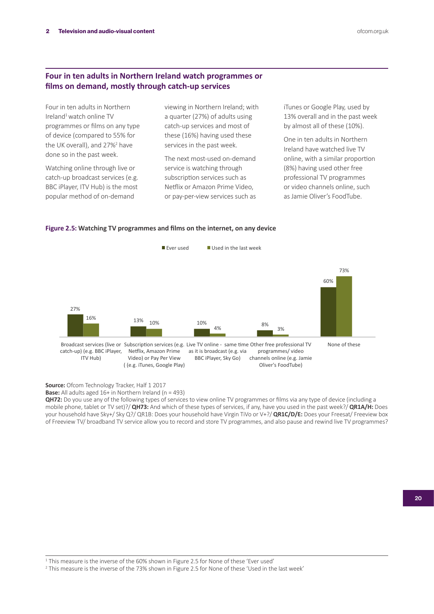# **Four in ten adults in Northern Ireland watch programmes or films on demand, mostly through catch-up services**

Four in ten adults in Northern Ireland<sup>1</sup> watch online TV programmes or films on any type of device (compared to 55% for the UK overall), and 27%<sup>2</sup> have done so in the past week.

Watching online through live or catch-up broadcast services (e.g. BBC iPlayer, ITV Hub) is the most popular method of on-demand

viewing in Northern Ireland; with a quarter (27%) of adults using catch-up services and most of these (16%) having used these services in the past week.

The next most-used on-demand service is watching through subscription services such as Netflix or Amazon Prime Video, or pay-per-view services such as iTunes or Google Play, used by 13% overall and in the past week by almost all of these (10%).

One in ten adults in Northern Ireland have watched live TV online, with a similar proportion (8%) having used other free professional TV programmes or video channels online, such as Jamie Oliver's FoodTube.

# **Figure 2.5: Watching TV programmes and films on the internet, on any device**



**Source:** Ofcom Technology Tracker, Half 1 2017

**Base:** All adults aged 16+ in Northern Ireland (n = 493)

**QH72:** Do you use any of the following types of services to view online TV programmes or films via any type of device (including a mobile phone, tablet or TV set)?/ **QH73:** And which of these types of services, if any, have you used in the past week?/ **QR1A/H:** Does your household have Sky+/ Sky Q?/ QR1B: Does your household have Virgin TiVo or V+?/ **QR1C/D/E:** Does your Freesat/ Freeview box of Freeview TV/ broadband TV service allow you to record and store TV programmes, and also pause and rewind live TV programmes?

2 This measure is the inverse of the 73% shown in Figure 2.5 for None of these 'Used in the last week'

<sup>&</sup>lt;sup>1</sup> This measure is the inverse of the 60% shown in Figure 2.5 for None of these 'Ever used'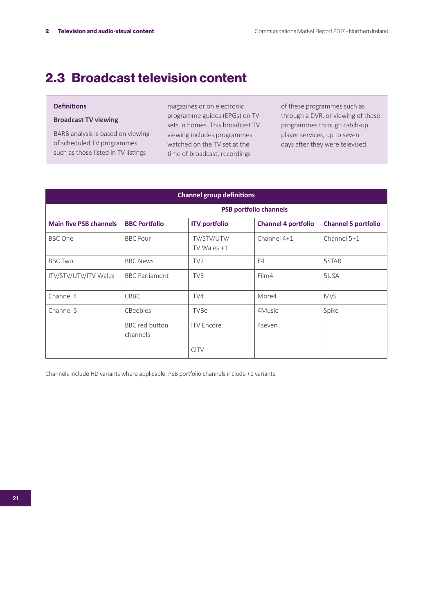# 2.3 Broadcast television content

### **Definitions**

### **Broadcast TV viewing**

BARB analysis is based on viewing of scheduled TV programmes such as those listed in TV listings

magazines or on electronic programme guides (EPGs) on TV sets in homes. This broadcast TV viewing includes programmes watched on the TV set at the time of broadcast, recordings

of these programmes such as through a DVR, or viewing of these programmes through catch-up player services, up to seven days after they were televised.

| <b>Channel group definitions</b> |                               |                              |                            |                            |  |  |  |  |  |
|----------------------------------|-------------------------------|------------------------------|----------------------------|----------------------------|--|--|--|--|--|
|                                  | <b>PSB portfolio channels</b> |                              |                            |                            |  |  |  |  |  |
| <b>Main five PSB channels</b>    | <b>BBC Portfolio</b>          | <b>ITV</b> portfolio         | <b>Channel 4 portfolio</b> | <b>Channel 5 portfolio</b> |  |  |  |  |  |
| <b>BBC</b> One                   | <b>BBC</b> Four               | ITV/STV/UTV/<br>ITV Wales +1 | Channel 4+1                | Channel 5+1                |  |  |  |  |  |
| <b>BBC Two</b>                   | <b>BBC News</b>               | ITV <sub>2</sub>             | E4                         | 5STAR                      |  |  |  |  |  |
| ITV/STV/UTV/ITV Wales            | <b>BBC</b> Parliament         | ITV <sub>3</sub>             | Film4                      | 5USA                       |  |  |  |  |  |
| Channel 4                        | <b>CBBC</b>                   | ITV4                         | More4                      | My5                        |  |  |  |  |  |
| Channel 5                        | CBeebies                      | <b>ITVBe</b>                 | 4Music                     | Spike                      |  |  |  |  |  |
|                                  | BBC red button<br>channels    | <b>ITV</b> Encore            | 4seven                     |                            |  |  |  |  |  |
|                                  |                               | <b>CITV</b>                  |                            |                            |  |  |  |  |  |

Channels include HD variants where applicable. PSB portfolio channels include +1 variants.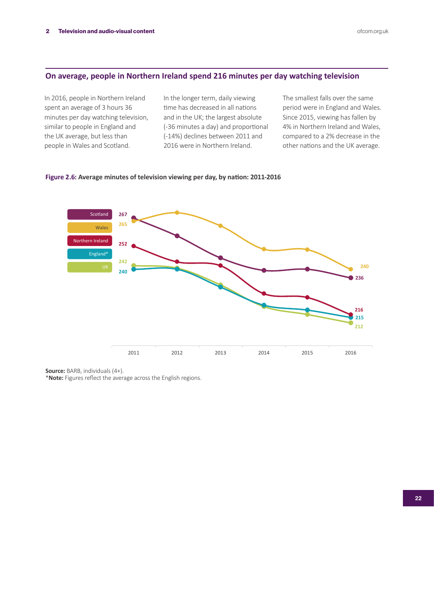# **On average, people in Northern Ireland spend 216 minutes per day watching television**

In 2016, people in Northern Ireland spent an average of 3 hours 36 minutes per day watching television, similar to people in England and the UK average, but less than people in Wales and Scotland.

In the longer term, daily viewing time has decreased in all nations and in the UK; the largest absolute (-36 minutes a day) and proportional (-14%) declines between 2011 and 2016 were in Northern Ireland.

The smallest falls over the same period were in England and Wales. Since 2015, viewing has fallen by 4% in Northern Ireland and Wales, compared to a 2% decrease in the other nations and the UK average.

### **Figure 2.6: Average minutes of television viewing per day, by nation: 2011-2016**



**Source:** BARB, individuals (4+).

\***Note:** Figures reflect the average across the English regions.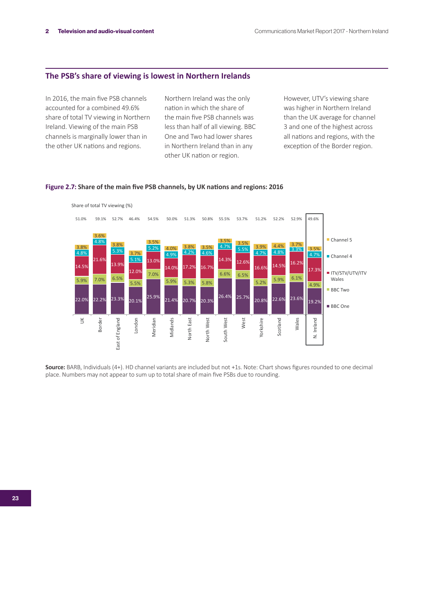# **The PSB's share of viewing is lowest in Northern Irelands**

In 2016, the main five PSB channels accounted for a combined 49.6% share of total TV viewing in Northern Ireland. Viewing of the main PSB channels is marginally lower than in the other UK nations and regions.

Northern Ireland was the only nation in which the share of the main five PSB channels was less than half of all viewing. BBC One and Two had lower shares in Northern Ireland than in any other UK nation or region.

However, UTV's viewing share was higher in Northern Ireland than the UK average for channel 3 and one of the highest across all nations and regions, with the exception of the Border region.

### **Figure 2.7: Share of the main five PSB channels, by UK nations and regions: 2016**



**Source:** BARB, Individuals (4+). HD channel variants are included but not +1s. Note: Chart shows figures rounded to one decimal place. Numbers may not appear to sum up to total share of main five PSBs due to rounding.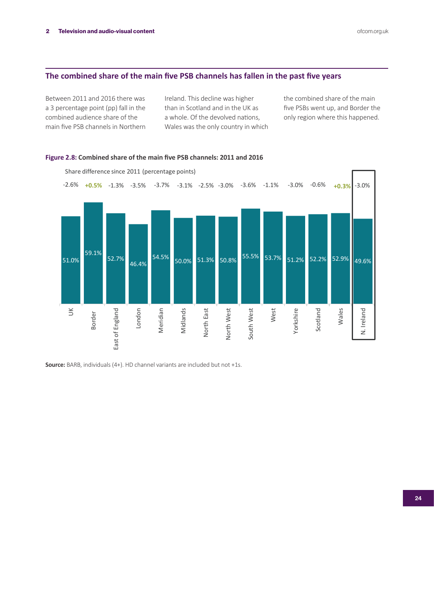# **The combined share of the main five PSB channels has fallen in the past five years**

Between 2011 and 2016 there was a 3 percentage point (pp) fall in the combined audience share of the main five PSB channels in Northern Ireland. This decline was higher than in Scotland and in the UK as a whole. Of the devolved nations, Wales was the only country in which the combined share of the main five PSBs went up, and Border the only region where this happened.



# **Figure 2.8: Combined share of the main five PSB channels: 2011 and 2016**

**Source:** BARB, individuals (4+). HD channel variants are included but not +1s.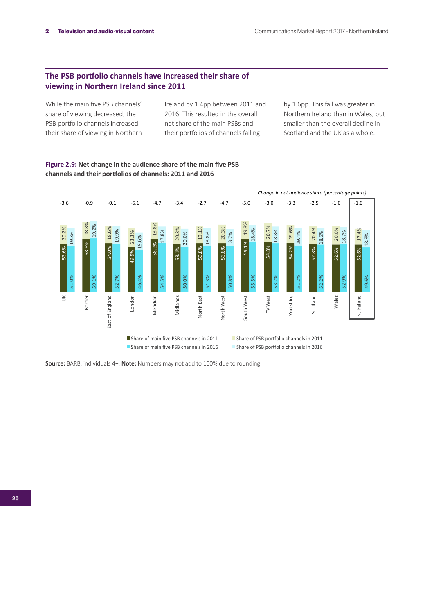# **The PSB portfolio channels have increased their share of viewing in Northern Ireland since 2011**

While the main five PSB channels' share of viewing decreased, the PSB portfolio channels increased their share of viewing in Northern Ireland by 1.4pp between 2011 and 2016. This resulted in the overall net share of the main PSBs and their portfolios of channels falling

by 1.6pp. This fall was greater in Northern Ireland than in Wales, but smaller than the overall decline in Scotland and the UK as a whole.

**Figure 2.9: Net change in the audience share of the main five PSB channels and their portfolios of channels: 2011 and 2016**



**Source:** BARB, individuals 4+. **Note:** Numbers may not add to 100% due to rounding.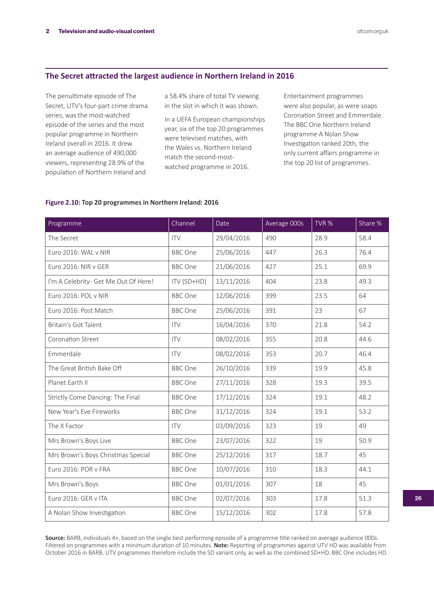# **The Secret attracted the largest audience in Northern Ireland in 2016**

The penultimate episode of The Secret, UTV's four-part crime drama series, was the most-watched episode of the series and the most popular programme in Northern Ireland overall in 2016. It drew an average audience of 490,000 viewers, representing 28.9% of the population of Northern Ireland and

a 58.4% share of total TV viewing in the slot in which it was shown.

In a UEFA European championships year, six of the top 20 programmes were televised matches, with the Wales vs. Northern Ireland match the second-mostwatched programme in 2016.

Entertainment programmes were also popular, as were soaps Coronation Street and Emmerdale. The BBC One Northern Ireland programme A Nolan Show Investigation ranked 20th, the only current affairs programme in the top 20 list of programmes.

## **Figure 2.10: Top 20 programmes in Northern Ireland: 2016**

| Programme                            | Channel        | Date       | Average 000s | TVR % | Share % |
|--------------------------------------|----------------|------------|--------------|-------|---------|
| The Secret                           | <b>ITV</b>     | 29/04/2016 | 490          | 28.9  | 58.4    |
| Euro 2016: WAL v NIR                 | <b>BBC</b> One | 25/06/2016 | 447          | 26.3  | 76.4    |
| Euro 2016: NIR v GER                 | <b>BBC</b> One | 21/06/2016 | 427          | 25.1  | 69.9    |
| I'm A Celebrity- Get Me Out Of Here! | ITV (SD+HD)    | 13/11/2016 | 404          |       | 49.3    |
| Euro 2016: POL v NIR                 | <b>BBC</b> One | 12/06/2016 | 399          | 23.5  | 64      |
| Euro 2016: Post Match                | <b>BBC</b> One | 25/06/2016 | 391          | 23    | 67      |
| Britain's Got Talent                 | <b>ITV</b>     | 16/04/2016 | 370          | 21.8  | 54.2    |
| Coronation Street                    | <b>ITV</b>     | 08/02/2016 | 355          | 20.8  | 44.6    |
| Emmerdale                            | <b>ITV</b>     | 08/02/2016 | 353          | 20.7  | 46.4    |
| The Great British Bake Off           | <b>BBC</b> One | 26/10/2016 | 339          | 19.9  | 45.8    |
| Planet Earth II                      | <b>BBC</b> One | 27/11/2016 | 328          | 19.3  | 39.5    |
| Strictly Come Dancing: The Final     | <b>BBC</b> One | 17/12/2016 | 324          | 19.1  | 48.2    |
| New Year's Eve Fireworks             | <b>BBC</b> One | 31/12/2016 | 324          |       | 53.2    |
| The X Factor                         | <b>ITV</b>     | 03/09/2016 | 323          | 19    | 49      |
| Mrs Brown's Boys Live                | <b>BBC</b> One | 23/07/2016 | 322          | 19    | 50.9    |
| Mrs Brown's Boys Christmas Special   | <b>BBC</b> One | 25/12/2016 | 317          | 18.7  | 45      |
| Euro 2016: POR v FRA                 | <b>BBC</b> One | 10/07/2016 | 310          | 18.3  | 44.1    |
| Mrs Brown's Boys                     | <b>BBC</b> One | 01/01/2016 | 307          | 18    | 45      |
| Euro 2016: GER v ITA                 | <b>BBC</b> One | 02/07/2016 | 303          | 17.8  | 51.3    |
| A Nolan Show Investigation           | <b>BBC</b> One | 15/12/2016 | 302          | 17.8  | 57.8    |

**Source:** BARB, individuals 4+, based on the single best performing episode of a programme title ranked on average audience 000s. Filtered on programmes with a minimum duration of 10 minutes. **Note:** Reporting of programmes against UTV HD was available from October 2016 in BARB. UTV programmes therefore include the SD variant only, as well as the combined SD+HD. BBC One includes HD.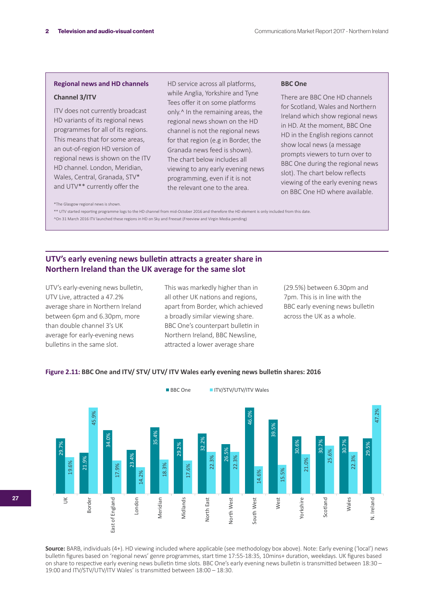### **Regional news and HD channels**

### **Channel 3/ITV**

ITV does not currently broadcast HD variants of its regional news programmes for all of its regions. This means that for some areas, an out-of-region HD version of regional news is shown on the ITV HD channel. London, Meridian, Wales, Central, Granada, STV\* and UTV\*\* currently offer the

HD service across all platforms, while Anglia, Yorkshire and Tyne Tees offer it on some platforms only.^ In the remaining areas, the regional news shown on the HD channel is not the regional news for that region (e.g in Border, the Granada news feed is shown). The chart below includes all viewing to any early evening news programming, even if it is not the relevant one to the area.

#### **BBC One**

There are BBC One HD channels for Scotland, Wales and Northern Ireland which show regional news in HD. At the moment, BBC One HD in the English regions cannot show local news (a message prompts viewers to turn over to BBC One during the regional news slot). The chart below reflects viewing of the early evening news on BBC One HD where available.

\*The Glasgow regional news is shown.

\*\* UTV started reporting programme logs to the HD channel from mid-October 2016 and therefore the HD element is only included from this date. ^On 31 March 2016 ITV launched these regions in HD on Sky and Freesat (Freeview and Virgin Media pending)

# **UTV's early evening news bulletin attracts a greater share in Northern Ireland than the UK average for the same slot**

UTV's early-evening news bulletin, UTV Live, attracted a 47.2% average share in Northern Ireland between 6pm and 6.30pm, more than double channel 3's UK average for early-evening news bulletins in the same slot.

This was markedly higher than in all other UK nations and regions, apart from Border, which achieved a broadly similar viewing share. BBC One's counterpart bulletin in Northern Ireland, BBC Newsline, attracted a lower average share

(29.5%) between 6.30pm and 7pm. This is in line with the BBC early evening news bulletin across the UK as a whole.

### **Figure 2.11: BBC One and ITV/ STV/ UTV/ ITV Wales early evening news bulletin shares: 2016**



**Source:** BARB, individuals (4+). HD viewing included where applicable (see methodology box above). Note: Early evening ('local') news bulletin figures based on 'regional news' genre programmes, start time 17:55-18:35, 10mins+ duration, weekdays. UK figures based on share to respective early evening news bulletin time slots. BBC One's early evening news bulletin is transmitted between 18:30 – 19:00 and ITV/STV/UTV/ITV Wales' is transmitted between 18:00 – 18:30.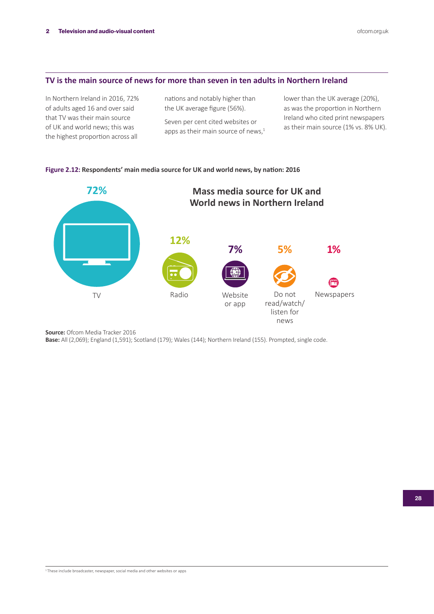### **TV is the main source of news for more than seven in ten adults in Northern Ireland**

In Northern Ireland in 2016, 72% of adults aged 16 and over said that TV was their main source of UK and world news; this was the highest proportion across all

nations and notably higher than the UK average figure (56%).

Seven per cent cited websites or apps as their main source of news, $1$  lower than the UK average (20%), as was the proportion in Northern Ireland who cited print newspapers as their main source (1% vs. 8% UK).

### **Figure 2.12: Respondents' main media source for UK and world news, by nation: 2016**



**Source:** Ofcom Media Tracker 2016

**Base:** All (2,069); England (1,591); Scotland (179); Wales (144); Northern Ireland (155). Prompted, single code.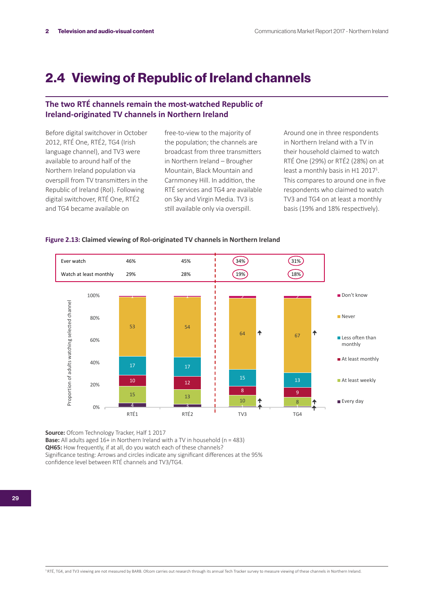# 2.4 Viewing of Republic of Ireland channels

# **The two RTÉ channels remain the most-watched Republic of Ireland-originated TV channels in Northern Ireland**

Before digital switchover in October 2012, RTÉ One, RTÉ2, TG4 (Irish language channel), and TV3 were available to around half of the Northern Ireland population via overspill from TV transmitters in the Republic of Ireland (RoI). Following digital switchover, RTÉ One, RTÉ2 and TG4 became available on

free-to-view to the majority of the population; the channels are broadcast from three transmitters in Northern Ireland – Brougher Mountain, Black Mountain and Carnmoney Hill. In addition, the RTÉ services and TG4 are available on Sky and Virgin Media. TV3 is still available only via overspill.

Around one in three respondents in Northern Ireland with a TV in their household claimed to watch RTÉ One (29%) or RTÉ2 (28%) on at least a monthly basis in H1 2017<sup>1</sup>. This compares to around one in five respondents who claimed to watch TV3 and TG4 on at least a monthly basis (19% and 18% respectively).



### **Figure 2.13: Claimed viewing of RoI-originated TV channels in Northern Ireland**

**Source:** Ofcom Technology Tracker, Half 1 2017

**Base:** All adults aged 16+ in Northern Ireland with a TV in household (n = 483)

**QH65:** How frequently, if at all, do you watch each of these channels?

Significance testing: Arrows and circles indicate any significant differences at the 95% confidence level between RTÉ channels and TV3/TG4.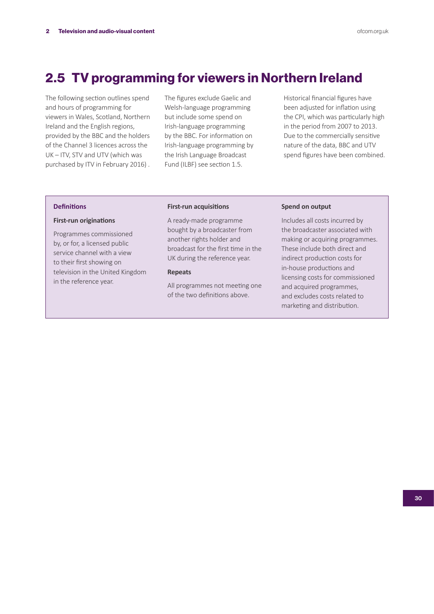# 2.5 TV programming for viewers in Northern Ireland

The following section outlines spend and hours of programming for viewers in Wales, Scotland, Northern Ireland and the English regions, provided by the BBC and the holders of the Channel 3 licences across the UK – ITV, STV and UTV (which was purchased by ITV in February 2016) . The figures exclude Gaelic and Welsh-language programming but include some spend on Irish-language programming by the BBC. For information on Irish-language programming by the Irish Language Broadcast Fund (ILBF) see section 1.5.

Historical financial figures have been adjusted for inflation using the CPI, which was particularly high in the period from 2007 to 2013. Due to the commercially sensitive nature of the data, BBC and UTV spend figures have been combined.

### **Definitions**

#### **First-run originations**

Programmes commissioned by, or for, a licensed public service channel with a view to their first showing on television in the United Kingdom in the reference year.

#### **First-run acquisitions**

A ready-made programme bought by a broadcaster from another rights holder and broadcast for the first time in the UK during the reference year.

### **Repeats**

All programmes not meeting one of the two definitions above.

### **Spend on output**

Includes all costs incurred by the broadcaster associated with making or acquiring programmes. These include both direct and indirect production costs for in-house productions and licensing costs for commissioned and acquired programmes, and excludes costs related to marketing and distribution.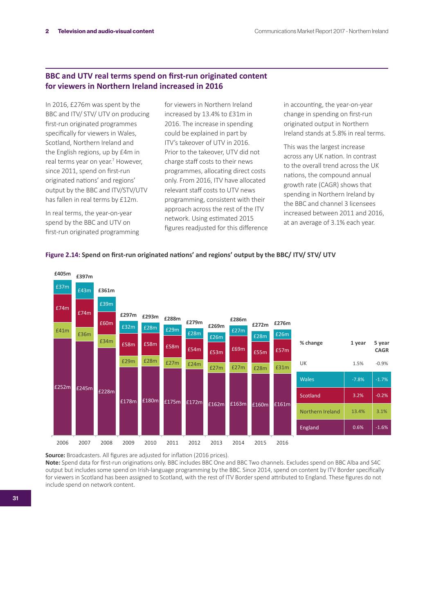# **BBC and UTV real terms spend on first-run originated content for viewers in Northern Ireland increased in 2016**

In 2016, £276m was spent by the BBC and ITV/ STV/ UTV on producing first-run originated programmes specifically for viewers in Wales, Scotland, Northern Ireland and the English regions, up by £4m in real terms year on year.<sup>7</sup> However, since 2011, spend on first-run originated nations' and regions' output by the BBC and ITV/STV/UTV has fallen in real terms by £12m.

In real terms, the year-on-year spend by the BBC and UTV on first-run originated programming for viewers in Northern Ireland increased by 13.4% to £31m in 2016. The increase in spending could be explained in part by ITV's takeover of UTV in 2016. Prior to the takeover, UTV did not charge staff costs to their news programmes, allocating direct costs only. From 2016, ITV have allocated relevant staff costs to UTV news programming, consistent with their approach across the rest of the ITV network. Using estimated 2015 figures readjusted for this difference in accounting, the year-on-year change in spending on first-run originated output in Northern Ireland stands at 5.8% in real terms.

This was the largest increase across any UK nation. In contrast to the overall trend across the UK nations, the compound annual growth rate (CAGR) shows that spending in Northern Ireland by the BBC and channel 3 licensees increased between 2011 and 2016, at an average of 3.1% each year.



### **Figure 2.14: Spend on first-run originated nations' and regions' output by the BBC/ ITV/ STV/ UTV**

**Source:** Broadcasters. All figures are adjusted for inflation (2016 prices).

**Note:** Spend data for first-run originations only. BBC includes BBC One and BBC Two channels. Excludes spend on BBC Alba and S4C output but includes some spend on Irish-language programming by the BBC. Since 2014, spend on content by ITV Border specifically for viewers in Scotland has been assigned to Scotland, with the rest of ITV Border spend attributed to England. These figures do not include spend on network content.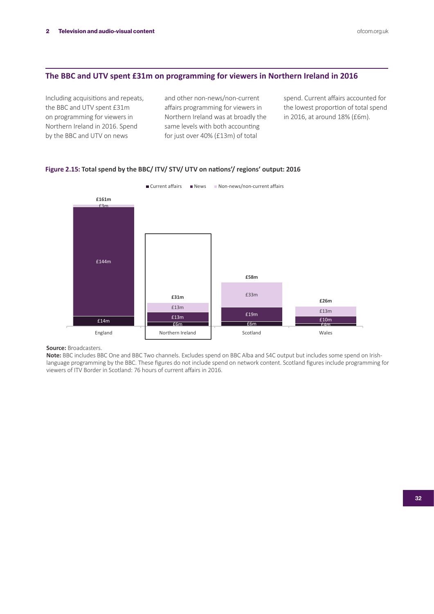# **The BBC and UTV spent £31m on programming for viewers in Northern Ireland in 2016**

Including acquisitions and repeats, the BBC and UTV spent £31m on programming for viewers in Northern Ireland in 2016. Spend by the BBC and UTV on news

and other non-news/non-current affairs programming for viewers in Northern Ireland was at broadly the same levels with both accounting for just over 40% (£13m) of total

spend. Current affairs accounted for the lowest proportion of total spend in 2016, at around 18% (£6m).



#### **Figure 2.15: Total spend by the BBC/ ITV/ STV/ UTV on nations'/ regions' output: 2016**

### **Source:** Broadcasters.

**Note:** BBC includes BBC One and BBC Two channels. Excludes spend on BBC Alba and S4C output but includes some spend on Irishlanguage programming by the BBC. These figures do not include spend on network content. Scotland figures include programming for viewers of ITV Border in Scotland: 76 hours of current affairs in 2016.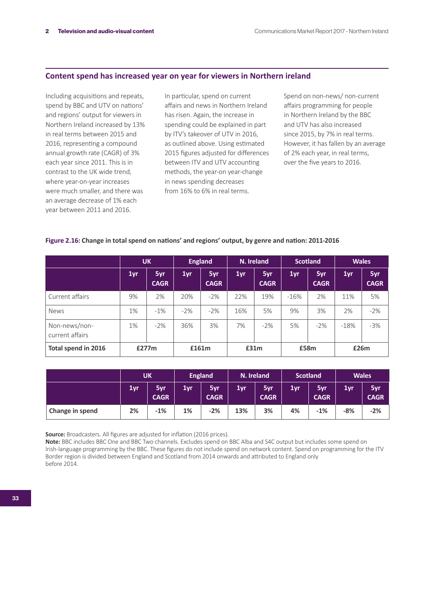# **Content spend has increased year on year for viewers in Northern ireland**

Including acquisitions and repeats, spend by BBC and UTV on nations' and regions' output for viewers in Northern Ireland increased by 13% in real terms between 2015 and 2016, representing a compound annual growth rate (CAGR) of 3% each year since 2011. This is in contrast to the UK wide trend, where year-on-year increases were much smaller, and there was an average decrease of 1% each year between 2011 and 2016.

In particular, spend on current affairs and news in Northern Ireland has risen. Again, the increase in spending could be explained in part by ITV's takeover of UTV in 2016, as outlined above. Using estimated 2015 figures adjusted for differences between ITV and UTV accounting methods, the year-on year-change in news spending decreases from 16% to 6% in real terms.

Spend on non-news/ non-current affairs programming for people in Northern Ireland by the BBC and UTV has also increased since 2015, by 7% in real terms. However, it has fallen by an average of 2% each year, in real terms, over the five years to 2016.

| Figure 2.16: Change in total spend on nations' and regions' output, by genre and nation: 2011-2016 |  |
|----------------------------------------------------------------------------------------------------|--|
|----------------------------------------------------------------------------------------------------|--|

|                                  | <b>UK</b> |                    | <b>England</b> |                    | N. Ireland      |                    | <b>Scotland</b> |                    | <b>Wales</b> |                    |
|----------------------------------|-----------|--------------------|----------------|--------------------|-----------------|--------------------|-----------------|--------------------|--------------|--------------------|
|                                  | 1yr       | 5yr<br><b>CAGR</b> | 1yr            | 5yr<br><b>CAGR</b> | 1 <sub>yr</sub> | 5yr<br><b>CAGR</b> | 1yr             | 5yr<br><b>CAGR</b> | 1yr          | 5yr<br><b>CAGR</b> |
| Current affairs                  | 9%        | 2%                 | 20%            | $-2%$              | 22%             | 19%                | $-16%$          | 2%                 | 11%          | 5%                 |
| <b>News</b>                      | 1%        | $-1\%$             | $-2\%$         | $-2\%$             | 16%             | 5%                 | 9%              | 3%                 | 2%           | $-2%$              |
| Non-news/non-<br>current affairs | 1%        | $-2\%$             | 36%            | 3%                 | 7%              | $-2%$              | 5%              | $-2%$              | $-18%$       | $-3%$              |
| Total spend in 2016              |           | £277m              |                | £161m              |                 | £31m               |                 | £58m               |              | £26m               |

|                 | <b>UK</b> |                    | <b>England</b> |                    | N. Ireland |                    | <b>Scotland</b> |                    | <b>Wales</b> |                    |
|-----------------|-----------|--------------------|----------------|--------------------|------------|--------------------|-----------------|--------------------|--------------|--------------------|
|                 | 1yr       | 5yr<br><b>CAGR</b> | 1yr            | 5yr<br><b>CAGR</b> | 1yr        | 5yr<br><b>CAGR</b> | 1yr             | 5yr<br><b>CAGR</b> | 1yr          | 5yr<br><b>CAGR</b> |
| Change in spend | 2%        | $-1%$              | 1%             | $-2%$              | 13%        | 3%                 | 4%              | $-1%$              | $-8%$        | $-2%$              |

**Source:** Broadcasters. All figures are adjusted for inflation (2016 prices).

**Note:** BBC includes BBC One and BBC Two channels. Excludes spend on BBC Alba and S4C output but includes some spend on Irish-language programming by the BBC. These figures do not include spend on network content. Spend on programming for the ITV Border region is divided between England and Scotland from 2014 onwards and attributed to England only before 2014.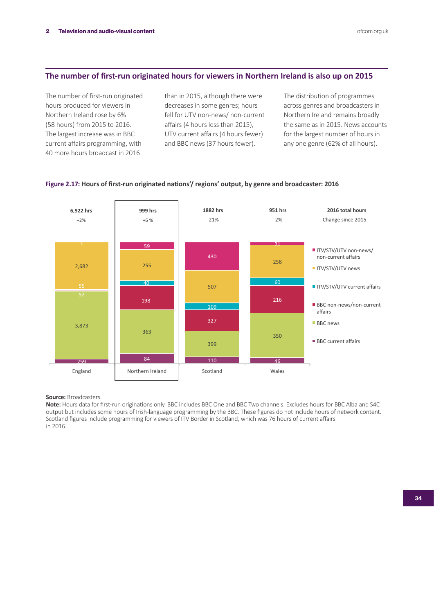# **The number of first-run originated hours for viewers in Northern Ireland is also up on 2015**

The number of first-run originated hours produced for viewers in Northern Ireland rose by 6% (58 hours) from 2015 to 2016. The largest increase was in BBC current affairs programming, with 40 more hours broadcast in 2016

than in 2015, although there were decreases in some genres; hours fell for UTV non-news/ non-current affairs (4 hours less than 2015), UTV current affairs (4 hours fewer) and BBC news (37 hours fewer).

The distribution of programmes across genres and broadcasters in Northern Ireland remains broadly the same as in 2015. News accounts for the largest number of hours in any one genre (62% of all hours).



### **Figure 2.17: Hours of first-run originated nations'/ regions' output, by genre and broadcaster: 2016**

**Source:** Broadcasters.

**Note:** Hours data for first-run originations only. BBC includes BBC One and BBC Two channels. Excludes hours for BBC Alba and S4C output but includes some hours of Irish-language programming by the BBC. These figures do not include hours of network content. Scotland figures include programming for viewers of ITV Border in Scotland, which was 76 hours of current affairs in 2016.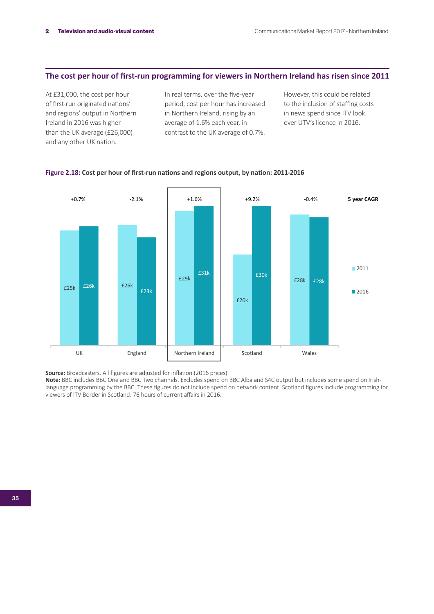# **The cost per hour of first-run programming for viewers in Northern Ireland has risen since 2011**

At £31,000, the cost per hour of first-run originated nations' and regions' output in Northern Ireland in 2016 was higher than the UK average (£26,000) and any other UK nation.

In real terms, over the five-year period, cost per hour has increased in Northern Ireland, rising by an average of 1.6% each year, in contrast to the UK average of 0.7%. However, this could be related to the inclusion of staffing costs in news spend since ITV look over UTV's licence in 2016.



### **Figure 2.18: Cost per hour of first-run nations and regions output, by nation: 2011-2016**

**Source:** Broadcasters. All figures are adjusted for inflation (2016 prices).

**Note:** BBC includes BBC One and BBC Two channels. Excludes spend on BBC Alba and S4C output but includes some spend on Irishlanguage programming by the BBC. These figures do not include spend on network content. Scotland figures include programming for viewers of ITV Border in Scotland: 76 hours of current affairs in 2016.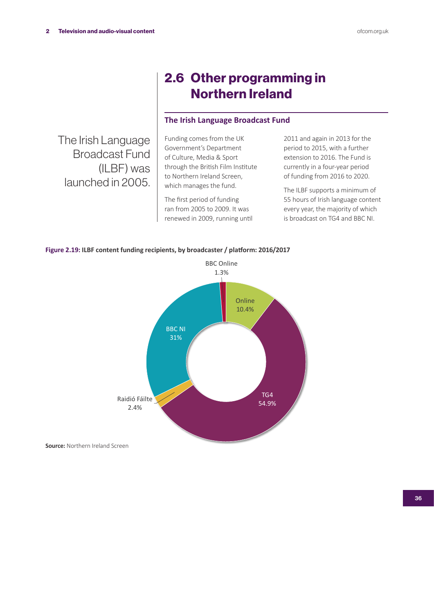# 2.6 Other programming in Northern Ireland

# **The Irish Language Broadcast Fund**

The Irish Language Broadcast Fund (ILBF) was launched in 2005.

Funding comes from the UK Government's Department of Culture, Media & Sport through the British Film Institute to Northern Ireland Screen, which manages the fund.

The first period of funding ran from 2005 to 2009. It was renewed in 2009, running until 2011 and again in 2013 for the period to 2015, with a further extension to 2016. The Fund is currently in a four-year period of funding from 2016 to 2020.

The ILBF supports a minimum of 55 hours of Irish language content every year, the majority of which is broadcast on TG4 and BBC NI.



### **Figure 2.19: ILBF content funding recipients, by broadcaster / platform: 2016/2017**

**Source:** Northern Ireland Screen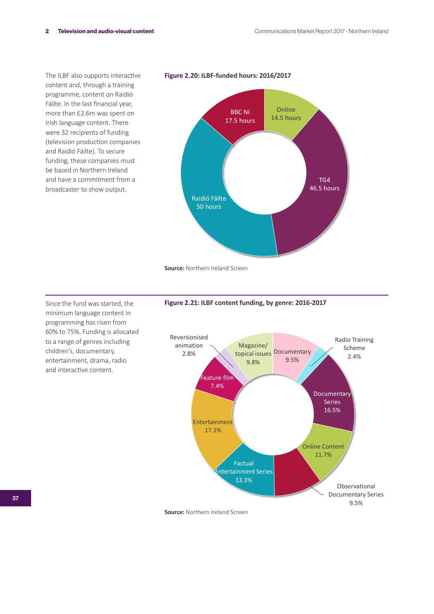The ILBF also supports interactive content and, through a training programme, content on Raidió Fáilte. In the last financial year, more than £2.6m was spent on Irish language content. There were 32 recipients of funding (television production companies and Raidió Fáilte). To secure funding, these companies must be based in Northern Ireland and have a commitment from a broadcaster to show output.

**Figure 2.20: ILBF-funded hours: 2016/2017**



**Source:** Northern Ireland Screen

Since the fund was started, the minimum language content in programming has risen from 60% to 75%. Funding is allocated to a range of genres including children's, documentary, entertainment, drama, radio and interactive content.





**Source:** Northern Ireland Screen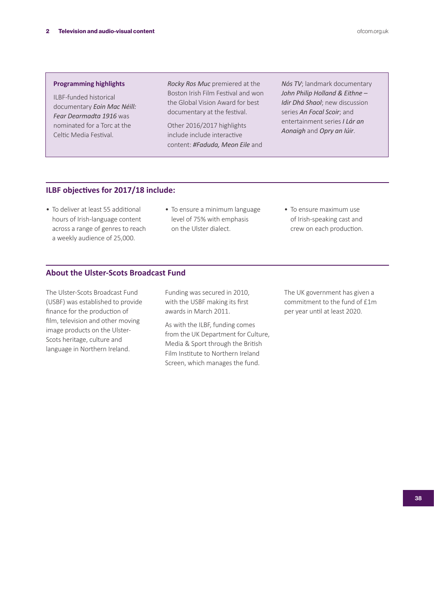### **Programming highlights**

ILBF-funded historical documentary *Eoin Mac Néill: Fear Dearmadta 1916* was nominated for a Torc at the Celtic Media Festival.

*Rocky Ros Muc* premiered at the Boston Irish Film Festival and won the Global Vision Award for best documentary at the festival.

Other 2016/2017 highlights include include interactive content: *#Faduda, Meon Eile* and

*Nós TV*; landmark documentary *John Philip Holland & Eithne – Idir Dhá Shaol*; new discussion series *An Focal Scoir*; and entertainment series *I Lár an Aonaigh* and *Opry an Iúir*.

# **ILBF objectives for 2017/18 include:**

- To deliver at least 55 additional hours of Irish-language content across a range of genres to reach a weekly audience of 25,000.
- To ensure a minimum language level of 75% with emphasis on the Ulster dialect.
- To ensure maximum use of Irish-speaking cast and crew on each production.

# **About the Ulster-Scots Broadcast Fund**

The Ulster-Scots Broadcast Fund (USBF) was established to provide finance for the production of film, television and other moving image products on the Ulster-Scots heritage, culture and language in Northern Ireland.

Funding was secured in 2010, with the USBF making its first awards in March 2011.

As with the ILBF, funding comes from the UK Department for Culture, Media & Sport through the British Film Institute to Northern Ireland Screen, which manages the fund.

The UK government has given a commitment to the fund of £1m per year until at least 2020.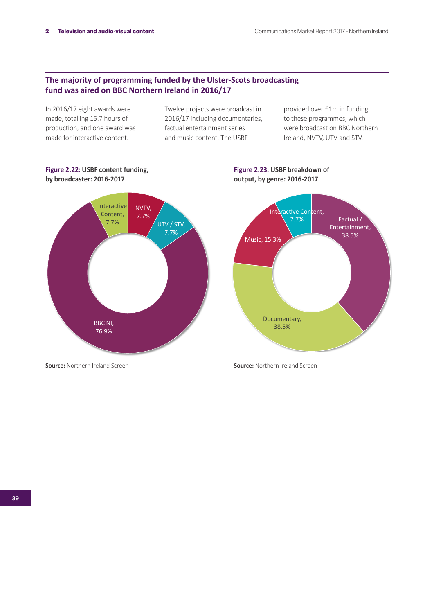# **The majority of programming funded by the Ulster-Scots broadcasting fund was aired on BBC Northern Ireland in 2016/17**

In 2016/17 eight awards were made, totalling 15.7 hours of production, and one award was made for interactive content.

Twelve projects were broadcast in 2016/17 including documentaries, factual entertainment series and music content. The USBF

provided over £1m in funding to these programmes, which were broadcast on BBC Northern Ireland, NVTV, UTV and STV.

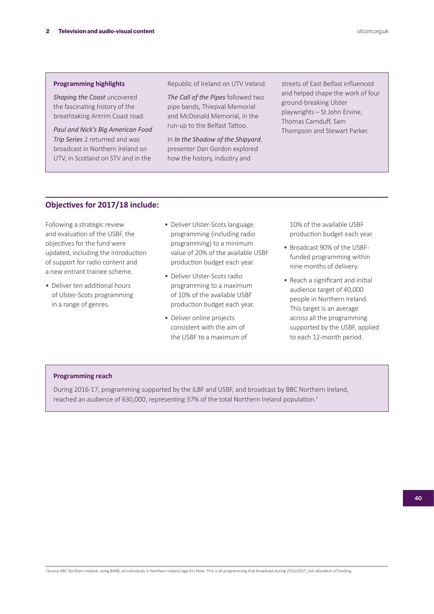### **Programming highlights**

*Shaping the Coast* uncovered the fascinating history of the breathtaking Antrim Coast road.

*Paul and Nick's Big American Food Trip Series* 2 returned and was broadcast in Northern Ireland on UTV, in Scotland on STV and in the

Republic of Ireland on UTV Ireland.

*The Call of the Pipes* followed two pipe bands, Thiepval Memorial and McDonald Memorial, in the run-up to the Belfast Tattoo.

In *In the Shadow of the Shipyard*, presenter Dan Gordon explored how the history, industry and

streets of East Belfast influenced and helped shape the work of four ground-breaking Ulster playwrights – St John Ervine, Thomas Carnduff, Sam Thompson and Stewart Parker.

# **Objectives for 2017/18 include:**

Following a strategic review and evaluation of the USBF, the objectives for the fund were updated, including the introduction of support for radio content and a new entrant trainee scheme.

- Deliver ten additional hours of Ulster-Scots programming in a range of genres.
- Deliver Ulster-Scots language programming (including radio programming) to a minimum value of 20% of the available USBF production budget each year.
- Deliver Ulster-Scots radio programming to a maximum of 10% of the available USBF production budget each year.
- Deliver online projects consistent with the aim of the USBF to a maximum of

10% of the available USBF production budget each year.

- Broadcast 90% of the USBFfunded programming within nine months of delivery.
- Reach a significant and initial audience target of 40,000 people in Northern Ireland. This target is an average across all the programming supported by the USBF, applied to each 12-month period.

#### **Programming reach**

During 2016-17, programming supported by the ILBF and USBF, and broadcast by BBC Northern Ireland, reached an audience of 630,000, representing 37% of the total Northern Ireland population.<sup>1</sup>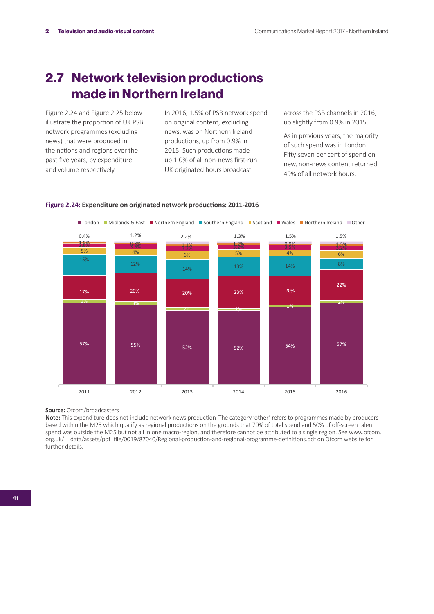# 2.7 Network television productions made in Northern Ireland

Figure 2.24 and Figure 2.25 below illustrate the proportion of UK PSB network programmes (excluding news) that were produced in the nations and regions over the past five years, by expenditure and volume respectively.

In 2016, 1.5% of PSB network spend on original content, excluding news, was on Northern Ireland productions, up from 0.9% in 2015. Such productions made up 1.0% of all non-news first-run UK-originated hours broadcast

across the PSB channels in 2016, up slightly from 0.9% in 2015.

As in previous years, the majority of such spend was in London. Fifty-seven per cent of spend on new, non-news content returned 49% of all network hours.



### **Figure 2.24: Expenditure on originated network productions: 2011-2016**

**Source: Ofcom/broadcasters** 

**Note:** This expenditure does not include network news production .The category 'other' refers to programmes made by producers based within the M25 which qualify as regional productions on the grounds that 70% of total spend and 50% of off-screen talent spend was outside the M25 but not all in one macro-region, and therefore cannot be attributed to a single region. See www.ofcom. org.uk/\_\_data/assets/pdf\_file/0019/87040/Regional-production-and-regional-programme-definitions.pdf on Ofcom website for further details.